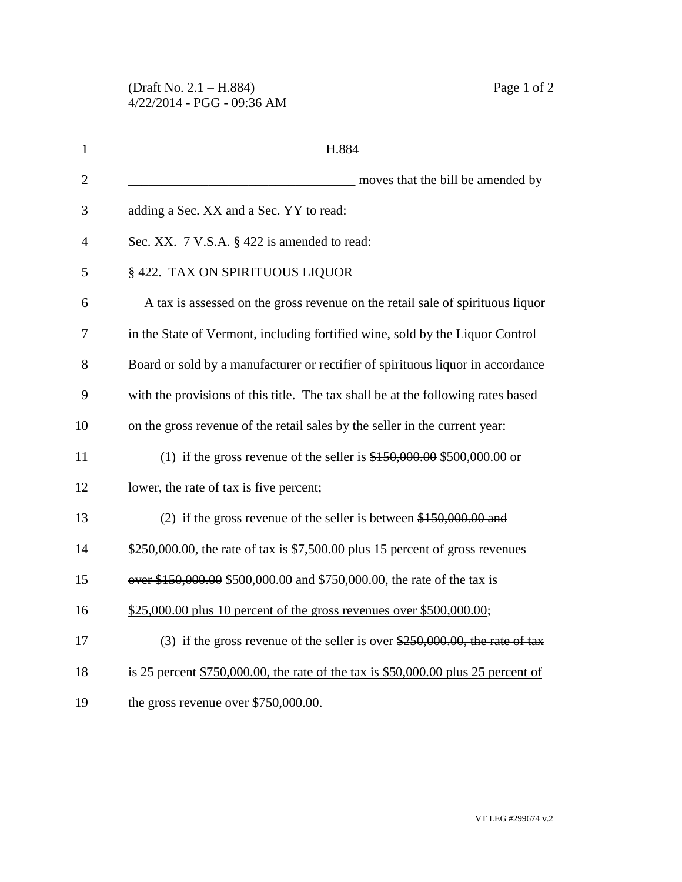| $\mathbf{1}$   | H.884                                                                               |
|----------------|-------------------------------------------------------------------------------------|
| $\overline{2}$ | moves that the bill be amended by                                                   |
| 3              | adding a Sec. XX and a Sec. YY to read:                                             |
| 4              | Sec. XX. 7 V.S.A. § 422 is amended to read:                                         |
| 5              | § 422. TAX ON SPIRITUOUS LIQUOR                                                     |
| 6              | A tax is assessed on the gross revenue on the retail sale of spirituous liquor      |
| 7              | in the State of Vermont, including fortified wine, sold by the Liquor Control       |
| 8              | Board or sold by a manufacturer or rectifier of spirituous liquor in accordance     |
| 9              | with the provisions of this title. The tax shall be at the following rates based    |
| 10             | on the gross revenue of the retail sales by the seller in the current year:         |
| 11             | (1) if the gross revenue of the seller is $$150,000.00$ \$500,000.00 or             |
| 12             | lower, the rate of tax is five percent;                                             |
| 13             | (2) if the gross revenue of the seller is between $$150,000.00$ and                 |
| 14             | $$250,000.00$ , the rate of tax is $$7,500.00$ plus 15 percent of gross revenues    |
| 15             | over \$150,000.00 \$500,000.00 and \$750,000.00, the rate of the tax is             |
| 16             | \$25,000.00 plus 10 percent of the gross revenues over \$500,000.00;                |
| 17             | (3) if the gross revenue of the seller is over $250,000.00$ , the rate of tax       |
| 18             | is 25 percent $$750,000.00$ , the rate of the tax is \$50,000.00 plus 25 percent of |
| 19             | the gross revenue over $$750,000.00$ .                                              |